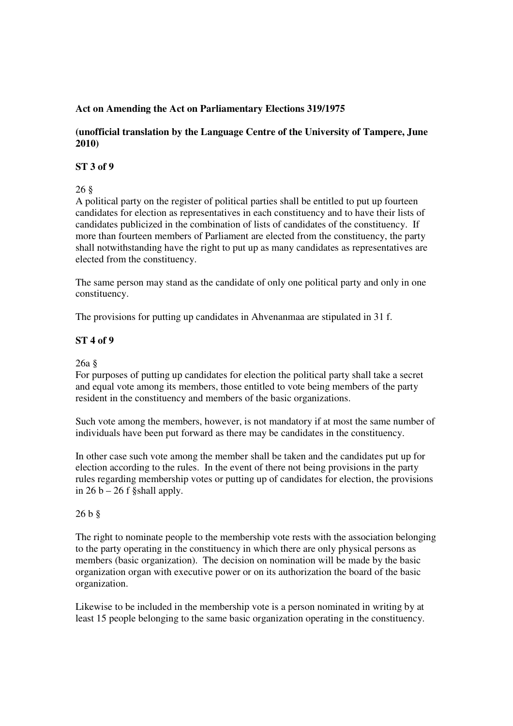# **Act on Amending the Act on Parliamentary Elections 319/1975**

# **(unofficial translation by the Language Centre of the University of Tampere, June 2010)**

## **ST 3 of 9**

# 26 §

A political party on the register of political parties shall be entitled to put up fourteen candidates for election as representatives in each constituency and to have their lists of candidates publicized in the combination of lists of candidates of the constituency. If more than fourteen members of Parliament are elected from the constituency, the party shall notwithstanding have the right to put up as many candidates as representatives are elected from the constituency.

The same person may stand as the candidate of only one political party and only in one constituency.

The provisions for putting up candidates in Ahvenanmaa are stipulated in 31 f.

## **ST 4 of 9**

## 26a §

For purposes of putting up candidates for election the political party shall take a secret and equal vote among its members, those entitled to vote being members of the party resident in the constituency and members of the basic organizations.

Such vote among the members, however, is not mandatory if at most the same number of individuals have been put forward as there may be candidates in the constituency.

In other case such vote among the member shall be taken and the candidates put up for election according to the rules. In the event of there not being provisions in the party rules regarding membership votes or putting up of candidates for election, the provisions in  $26 b - 26 f$  §shall apply.

## 26 b §

The right to nominate people to the membership vote rests with the association belonging to the party operating in the constituency in which there are only physical persons as members (basic organization). The decision on nomination will be made by the basic organization organ with executive power or on its authorization the board of the basic organization.

Likewise to be included in the membership vote is a person nominated in writing by at least 15 people belonging to the same basic organization operating in the constituency.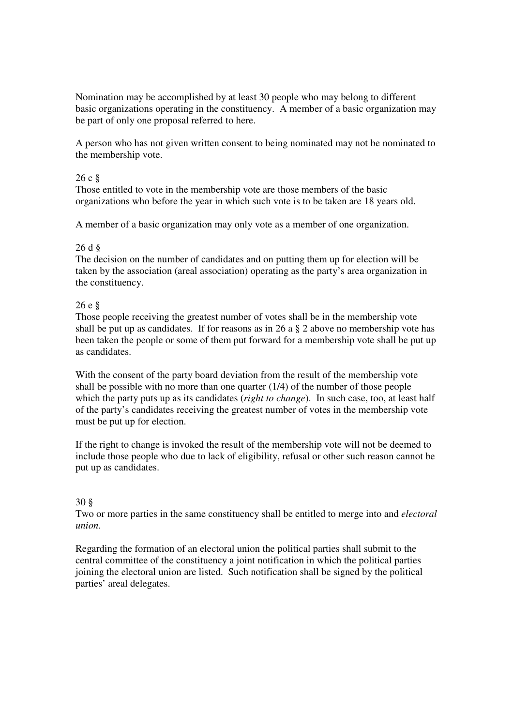Nomination may be accomplished by at least 30 people who may belong to different basic organizations operating in the constituency. A member of a basic organization may be part of only one proposal referred to here.

A person who has not given written consent to being nominated may not be nominated to the membership vote.

#### 26 c §

Those entitled to vote in the membership vote are those members of the basic organizations who before the year in which such vote is to be taken are 18 years old.

A member of a basic organization may only vote as a member of one organization.

#### 26 d §

The decision on the number of candidates and on putting them up for election will be taken by the association (areal association) operating as the party's area organization in the constituency.

#### 26 e §

Those people receiving the greatest number of votes shall be in the membership vote shall be put up as candidates. If for reasons as in 26 a  $\S$  2 above no membership vote has been taken the people or some of them put forward for a membership vote shall be put up as candidates.

With the consent of the party board deviation from the result of the membership vote shall be possible with no more than one quarter (1/4) of the number of those people which the party puts up as its candidates *(right to change)*. In such case, too, at least half of the party's candidates receiving the greatest number of votes in the membership vote must be put up for election.

If the right to change is invoked the result of the membership vote will not be deemed to include those people who due to lack of eligibility, refusal or other such reason cannot be put up as candidates.

## 30 §

Two or more parties in the same constituency shall be entitled to merge into and *electoral union.*

Regarding the formation of an electoral union the political parties shall submit to the central committee of the constituency a joint notification in which the political parties joining the electoral union are listed. Such notification shall be signed by the political parties' areal delegates.